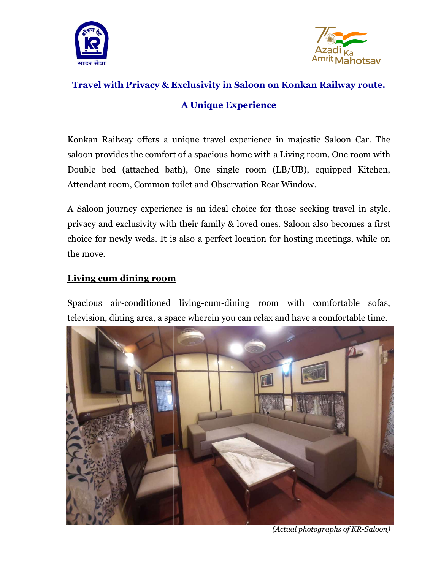



# Travel with Privacy & Exclusivity in Saloon on Konkan Railway route.<br>A Unique Experience

# Konkan Railway offers a unique travel experience in majestic Saloon Car. The Konkan Railway offers a unique travel experience in majestic Saloon Car. The<br>saloon provides the comfort of a spacious home with a Living room, One room with Double bed (attached bath), One single room (LB/UB), equipped Kitchen,<br>Attendant room, Common toilet and Observation Rear Window.<br>A Saloon journey experience is an ideal choice for those seeking travel in style, Attendant room, Common toilet and Observation Rear Window.

A Saloon journey experience is an ideal choice for those seeking A Saloon journey experience is an ideal choice for those seeking travel in style,<br>privacy and exclusivity with their family & loved ones. Saloon also becomes a first choice for newly weds. It is is also a perfect location for hosting meetings, while on the move.

# Living cum dining room **room**

Spacious air-conditioned living conditioned living-cum-dining room with comfortable sofas, television, dining area, a space wherein you can relax and have a comfortable time. ct location for hosting meetings, while on<br>dining  $\,$  room  $\,$  with  $\,$  comfortable  $\,$  sofas,  $\,$  rou can relax and have a comfortable time.



(Actual photographs of KR-Saloon)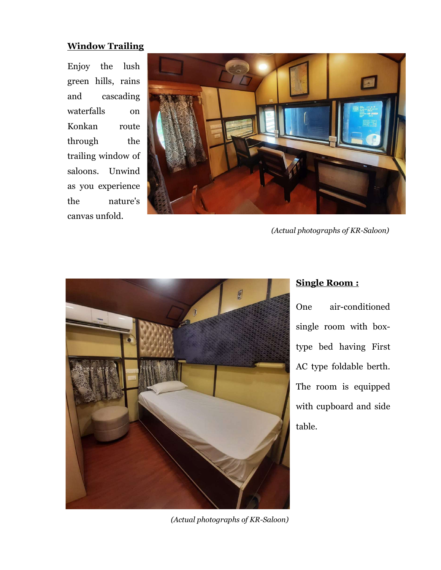### **Window Trailing**

Enjoy the lush green hills, rains and cascading waterfalls on Konkan route through the trailing window of saloons. Unwind as you experience the nature's canvas unfold.



(Actual photographs of KR-Saloon)



## Single Room :

One air-conditioned single room with boxtype bed having First AC type foldable berth. The room is equipped with cupboard and side table.

(Actual photographs of KR-Saloon)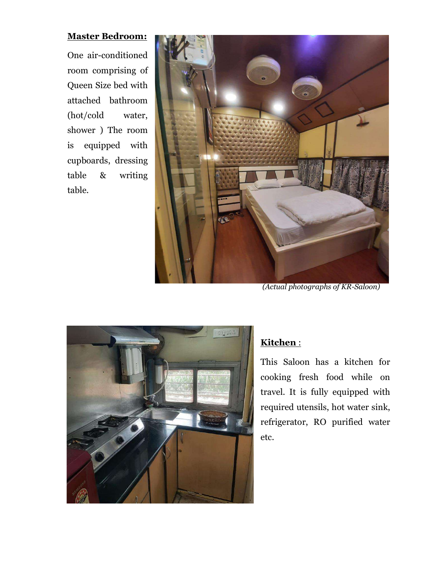### Master Bedroom:

One air-conditioned room comprising of Queen Size bed with attached bathroom (hot/cold water, shower ) The room is equipped with cupboards, dressing table & writing table.



(Actual photographs of KR-Saloon)



# Kitchen :

This Saloon has a kitchen for cooking fresh food while on travel. It is fully equipped with required utensils, hot water sink, refrigerator, RO purified water etc.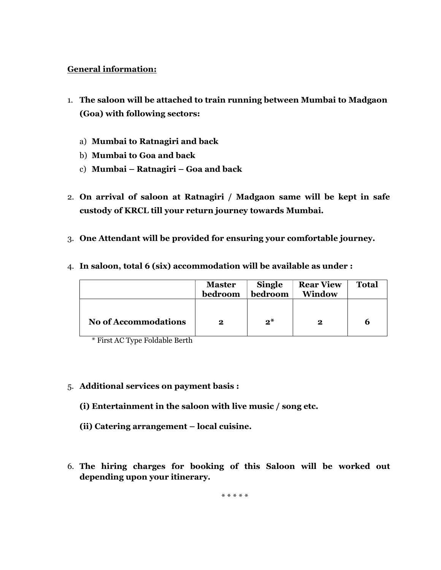#### General information:

- 1. The saloon will be attached to train running between Mumbai to Madgaon (Goa) with following sectors:
	- a) Mumbai to Ratnagiri and back
	- b) Mumbai to Goa and back
	- c) Mumbai Ratnagiri Goa and back
- 2. On arrival of saloon at Ratnagiri / Madgaon same will be kept in safe custody of KRCL till your return journey towards Mumbai.
- 3. One Attendant will be provided for ensuring your comfortable journey.

|                             | <b>Master</b><br>bedroom | <b>Single</b><br>bedroom | <b>Rear View</b><br>Window | <b>Total</b> |
|-----------------------------|--------------------------|--------------------------|----------------------------|--------------|
| <b>No of Accommodations</b> | $\bf{2}$                 | $2^*$                    | 2                          | b            |

4. In saloon, total 6 (six) accommodation will be available as under :

- \* First AC Type Foldable Berth
- 5. Additional services on payment basis :
	- (i) Entertainment in the saloon with live music / song etc.
	- (ii) Catering arrangement local cuisine.
- 6. The hiring charges for booking of this Saloon will be worked out depending upon your itinerary.